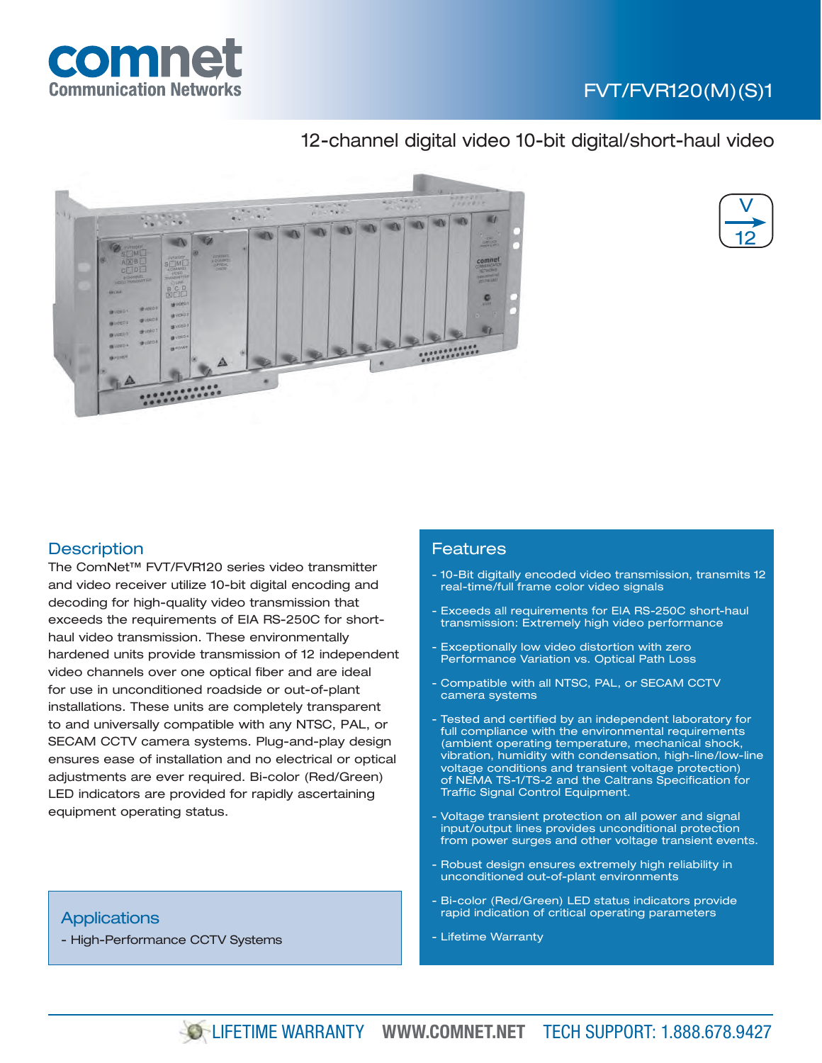

# FVT/FVR120(M)(S)1

## 12-channel digital video 10-bit digital/short-haul video





### **Description**

The ComNet™ FVT/FVR120 series video transmitter and video receiver utilize 10-bit digital encoding and decoding for high-quality video transmission that exceeds the requirements of EIA RS-250C for shorthaul video transmission. These environmentally hardened units provide transmission of 12 independent video channels over one optical fiber and are ideal for use in unconditioned roadside or out-of-plant installations. These units are completely transparent to and universally compatible with any NTSC, PAL, or SECAM CCTV camera systems. Plug-and-play design ensures ease of installation and no electrical or optical adjustments are ever required. Bi-color (Red/Green) LED indicators are provided for rapidly ascertaining equipment operating status.

#### **Applications**

- High-Performance CCTV Systems

#### Features

- 10-Bit digitally encoded video transmission, transmits 12 real-time/full frame color video signals
- Exceeds all requirements for EIA RS-250C short-haul transmission: Extremely high video performance
- Exceptionally low video distortion with zero Performance Variation vs. Optical Path Loss
- Compatible with all NTSC, PAL, or SECAM CCTV camera systems
- Tested and certified by an independent laboratory for full compliance with the environmental requirements (ambient operating temperature, mechanical shock, vibration, humidity with condensation, high-line/low-line voltage conditions and transient voltage protection) of NEMA TS-1/TS-2 and the Caltrans Specification for Traffic Signal Control Equipment.
- Voltage transient protection on all power and signal input/output lines provides unconditional protection from power surges and other voltage transient events.
- Robust design ensures extremely high reliability in unconditioned out-of-plant environments
- Bi-color (Red/Green) LED status indicators provide rapid indication of critical operating parameters
- Lifetime Warranty